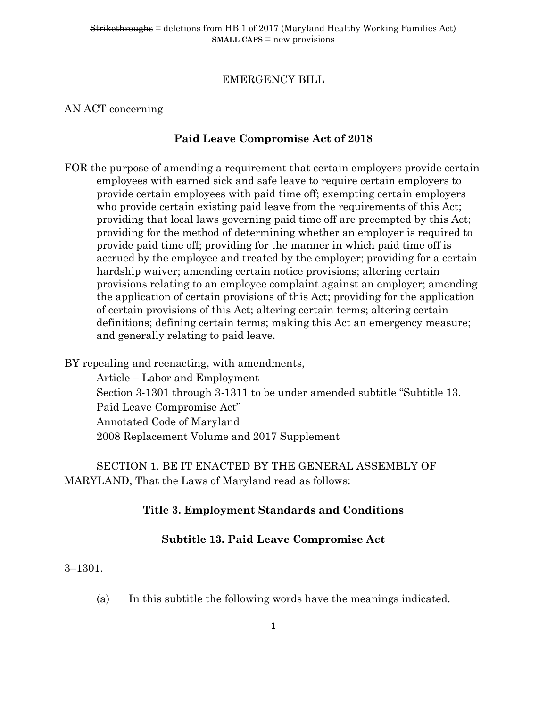# EMERGENCY BILL

# AN ACT concerning

# **Paid Leave Compromise Act of 2018**

FOR the purpose of amending a requirement that certain employers provide certain employees with earned sick and safe leave to require certain employers to provide certain employees with paid time off; exempting certain employers who provide certain existing paid leave from the requirements of this Act; providing that local laws governing paid time off are preempted by this Act; providing for the method of determining whether an employer is required to provide paid time off; providing for the manner in which paid time off is accrued by the employee and treated by the employer; providing for a certain hardship waiver; amending certain notice provisions; altering certain provisions relating to an employee complaint against an employer; amending the application of certain provisions of this Act; providing for the application of certain provisions of this Act; altering certain terms; altering certain definitions; defining certain terms; making this Act an emergency measure; and generally relating to paid leave.

BY repealing and reenacting, with amendments,

Article – Labor and Employment Section 3-1301 through 3-1311 to be under amended subtitle "Subtitle 13. Paid Leave Compromise Act" Annotated Code of Maryland 2008 Replacement Volume and 2017 Supplement

SECTION 1. BE IT ENACTED BY THE GENERAL ASSEMBLY OF MARYLAND, That the Laws of Maryland read as follows:

# **Title 3. Employment Standards and Conditions**

# **Subtitle 13. Paid Leave Compromise Act**

#### 3–1301.

(a) In this subtitle the following words have the meanings indicated.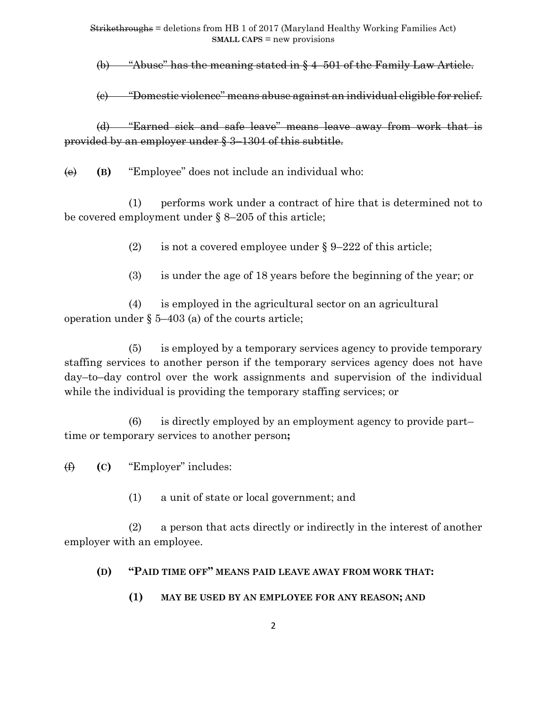(b) "Abuse" has the meaning stated in § 4–501 of the Family Law Article.

(c) "Domestic violence" means abuse against an individual eligible for relief.

(d) "Earned sick and safe leave" means leave away from work that is provided by an employer under § 3–1304 of this subtitle.

(e) **(B)** "Employee" does not include an individual who:

(1) performs work under a contract of hire that is determined not to be covered employment under § 8–205 of this article;

(2) is not a covered employee under  $\S 9-222$  of this article;

(3) is under the age of 18 years before the beginning of the year; or

(4) is employed in the agricultural sector on an agricultural operation under  $\S$  5–403 (a) of the courts article;

(5) is employed by a temporary services agency to provide temporary staffing services to another person if the temporary services agency does not have day–to–day control over the work assignments and supervision of the individual while the individual is providing the temporary staffing services; or

(6) is directly employed by an employment agency to provide part– time or temporary services to another person**;**

(f) **(C)** "Employer" includes:

(1) a unit of state or local government; and

(2) a person that acts directly or indirectly in the interest of another employer with an employee.

# **(D) "PAID TIME OFF" MEANS PAID LEAVE AWAY FROM WORK THAT:**

**(1) MAY BE USED BY AN EMPLOYEE FOR ANY REASON; AND**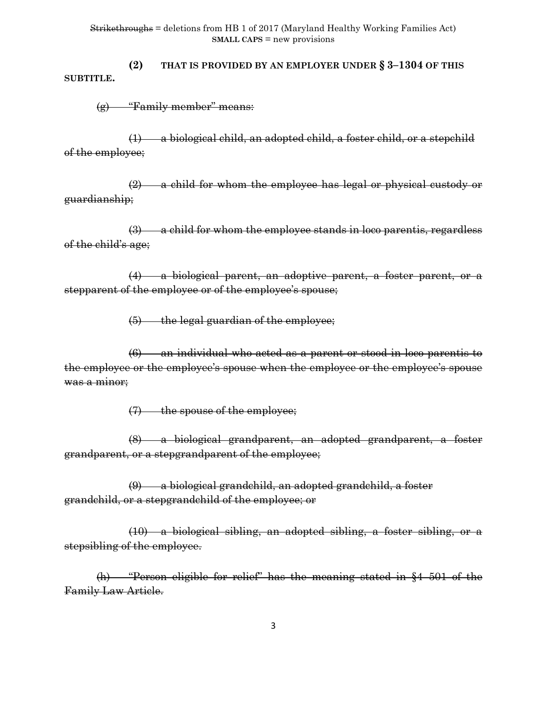**(2) THAT IS PROVIDED BY AN EMPLOYER UNDER § 3–1304 OF THIS SUBTITLE.**

(g) "Family member" means:

(1) a biological child, an adopted child, a foster child, or a stepchild of the employee;

(2) a child for whom the employee has legal or physical custody or guardianship;

(3) a child for whom the employee stands in loco parentis, regardless of the child's age;

(4) a biological parent, an adoptive parent, a foster parent, or a stepparent of the employee or of the employee's spouse;

(5) the legal guardian of the employee;

(6) an individual who acted as a parent or stood in loco parentis to the employee or the employee's spouse when the employee or the employee's spouse was a minor;

(7) the spouse of the employee;

(8) a biological grandparent, an adopted grandparent, a foster grandparent, or a stepgrandparent of the employee;

(9) a biological grandchild, an adopted grandchild, a foster grandchild, or a stepgrandchild of the employee; or

(10) a biological sibling, an adopted sibling, a foster sibling, or a stepsibling of the employee.

(h) "Person eligible for relief" has the meaning stated in §4–501 of the Family Law Article.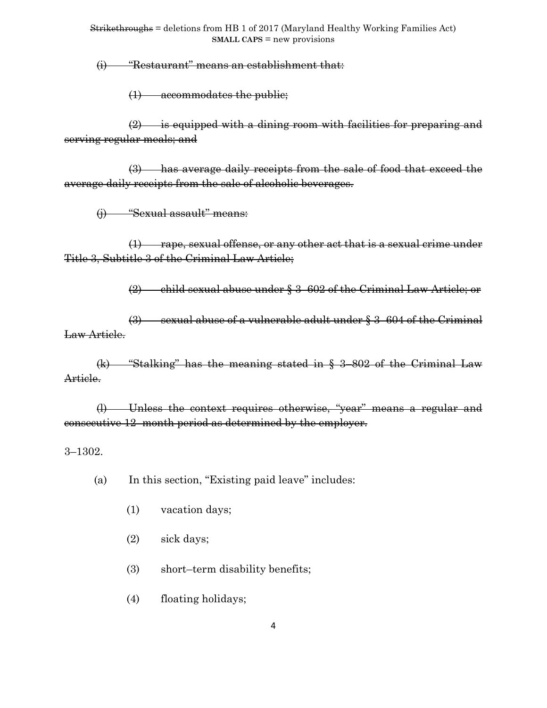(i) "Restaurant" means an establishment that:

(1) accommodates the public;

(2) is equipped with a dining room with facilities for preparing and serving regular meals; and

(3) has average daily receipts from the sale of food that exceed the average daily receipts from the sale of alcoholic beverages.

(j) "Sexual assault" means:

 $(1)$  rape, sexual offense, or any other act that is a sexual crime under Title 3, Subtitle 3 of the Criminal Law Article;

(2) child sexual abuse under § 3–602 of the Criminal Law Article; or

(3) sexual abuse of a vulnerable adult under § 3–604 of the Criminal Law Article.

(k) "Stalking" has the meaning stated in § 3–802 of the Criminal Law Article.

(l) Unless the context requires otherwise, "year" means a regular and consecutive 12–month period as determined by the employer.

3–1302.

(a) In this section, "Existing paid leave" includes:

- (1) vacation days;
- (2) sick days;
- (3) short–term disability benefits;
- (4) floating holidays;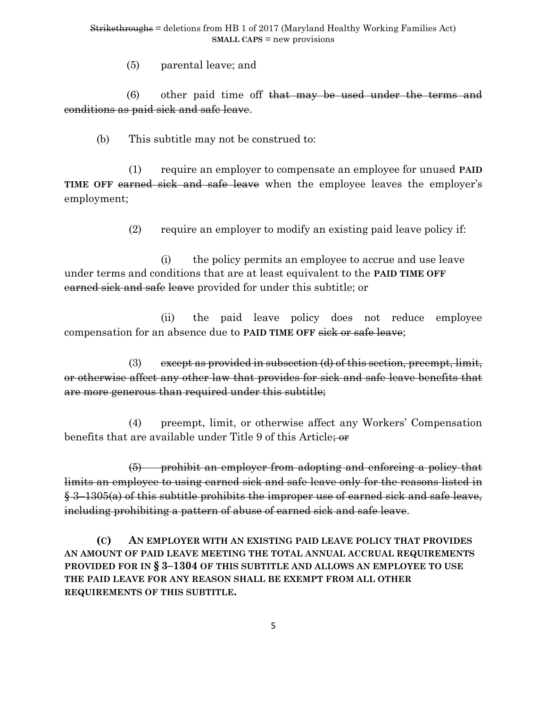(5) parental leave; and

(6) other paid time off that may be used under the terms and conditions as paid sick and safe leave.

(b) This subtitle may not be construed to:

(1) require an employer to compensate an employee for unused **PAID TIME OFF** earned sick and safe leave when the employee leaves the employer's employment;

(2) require an employer to modify an existing paid leave policy if:

(i) the policy permits an employee to accrue and use leave under terms and conditions that are at least equivalent to the **PAID TIME OFF** earned sick and safe leave provided for under this subtitle; or

(ii) the paid leave policy does not reduce employee compensation for an absence due to **PAID TIME OFF** sick or safe leave;

(3) except as provided in subsection (d) of this section, preempt, limit, or otherwise affect any other law that provides for sick and safe leave benefits that are more generous than required under this subtitle;

(4) preempt, limit, or otherwise affect any Workers' Compensation benefits that are available under Title 9 of this Article; or

(5) prohibit an employer from adopting and enforcing a policy that limits an employee to using earned sick and safe leave only for the reasons listed in § 3–1305(a) of this subtitle prohibits the improper use of earned sick and safe leave, including prohibiting a pattern of abuse of earned sick and safe leave.

**(C) AN EMPLOYER WITH AN EXISTING PAID LEAVE POLICY THAT PROVIDES AN AMOUNT OF PAID LEAVE MEETING THE TOTAL ANNUAL ACCRUAL REQUIREMENTS PROVIDED FOR IN § 3–1304 OF THIS SUBTITLE AND ALLOWS AN EMPLOYEE TO USE THE PAID LEAVE FOR ANY REASON SHALL BE EXEMPT FROM ALL OTHER REQUIREMENTS OF THIS SUBTITLE.**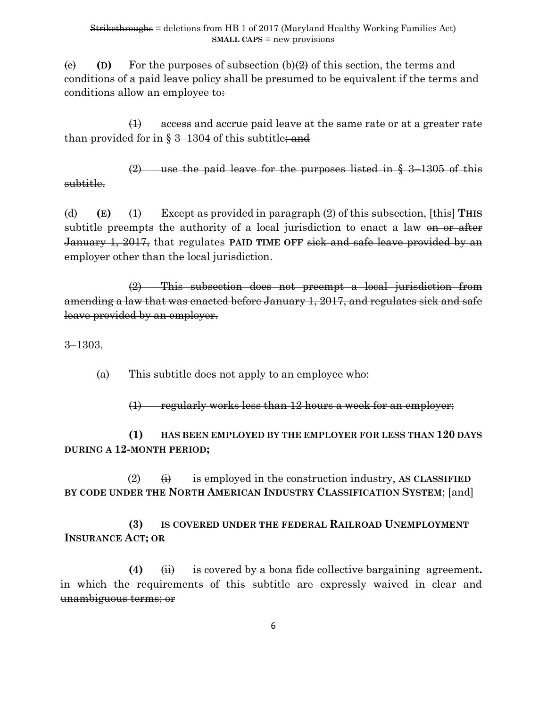(e) (D) For the purposes of subsection  $(b)(2)$  of this section, the terms and conditions of a paid leave policy shall be presumed to be equivalent if the terms and conditions allow an employee to:

(1) access and accrue paid leave at the same rate or at a greater rate than provided for in  $\S 3-1304$  of this subtitle; and

(2) use the paid leave for the purposes listed in § 3–1305 of this subtitle.

(d) **(E)** (1) Except as provided in paragraph (2) of this subsection, [this] **THIS**  subtitle preempts the authority of a local jurisdiction to enact a law on or after January 1, 2017, that regulates **PAID TIME OFF** sick and safe leave provided by an employer other than the local jurisdiction.

(2) This subsection does not preempt a local jurisdiction from amending a law that was enacted before January 1, 2017, and regulates sick and safe leave provided by an employer.

3–1303.

(a) This subtitle does not apply to an employee who:

 $(1)$  regularly works less than 12 hours a week for an employer;

**(1) HAS BEEN EMPLOYED BY THE EMPLOYER FOR LESS THAN 120 DAYS DURING A 12-MONTH PERIOD;**

 $(2)$   $(\dagger)$  is employed in the construction industry, AS CLASSIFIED **BY CODE UNDER THE NORTH AMERICAN INDUSTRY CLASSIFICATION SYSTEM**; [and]

**(3) IS COVERED UNDER THE FEDERAL RAILROAD UNEMPLOYMENT INSURANCE ACT; OR**

**(4)** (ii) is covered by a bona fide collective bargaining agreement**.** in which the requirements of this subtitle are expressly waived in clear and unambiguous terms; or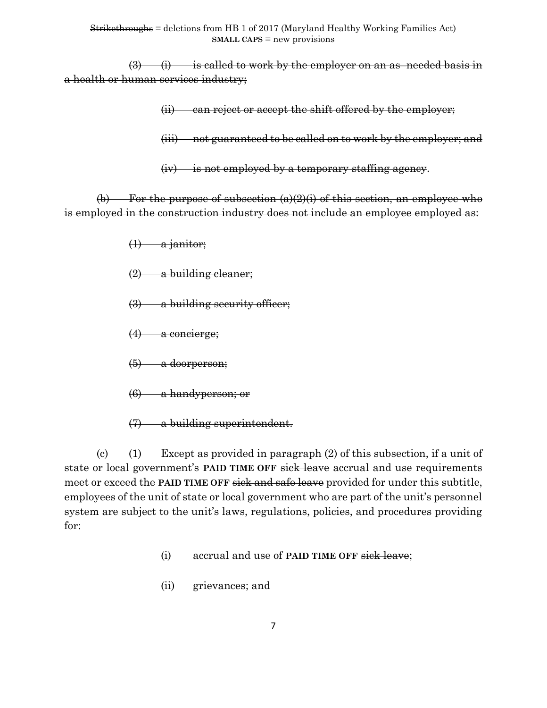$(3)$  (i) is called to work by the employer on an as-needed basis in a health or human services industry;

(ii) can reject or accept the shift offered by the employer;

(iii) not guaranteed to be called on to work by the employer; and

(iv) is not employed by a temporary staffing agency.

(b) For the purpose of subsection  $(a)(2)(i)$  of this section, an employee who is employed in the construction industry does not include an employee employed as:

- $(1)$  a janitor;
- $(2)$  a building cleaner;
- (3) a building security officer;
- (4) a concierge;
- (5) a doorperson;
- (6) a handyperson; or
- (7) a building superintendent.

(c) (1) Except as provided in paragraph (2) of this subsection, if a unit of state or local government's **PAID TIME OFF** sick leave accrual and use requirements meet or exceed the **PAID TIME OFF** sick and safe leave provided for under this subtitle, employees of the unit of state or local government who are part of the unit's personnel system are subject to the unit's laws, regulations, policies, and procedures providing for:

- (i) accrual and use of **PAID TIME OFF** sick leave;
- (ii) grievances; and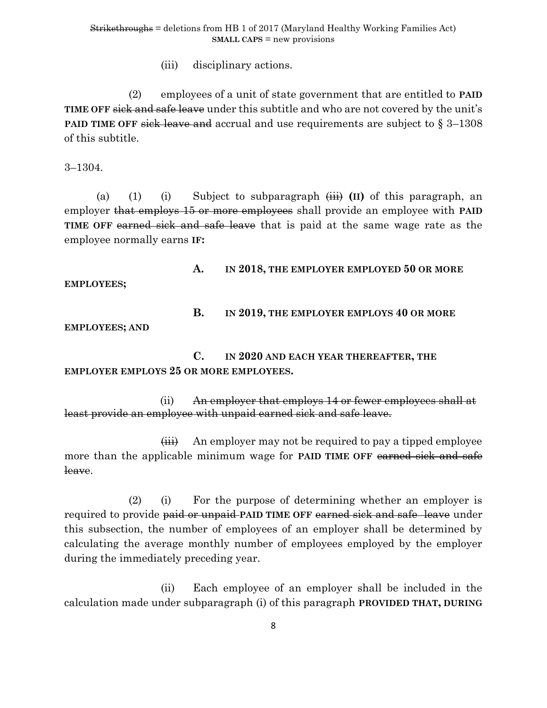(iii) disciplinary actions.

(2) employees of a unit of state government that are entitled to **PAID TIME OFF** sick and safe leave under this subtitle and who are not covered by the unit's **PAID TIME OFF** sick leave and accrual and use requirements are subject to § 3–1308 of this subtitle.

3–1304.

(a) (1) (i) Subject to subparagraph (iii) **(II)** of this paragraph, an employer that employs 15 or more employees shall provide an employee with **PAID TIME OFF** earned sick and safe leave that is paid at the same wage rate as the employee normally earns **IF:**

**EMPLOYEES;**

### **A. IN 2018, THE EMPLOYER EMPLOYED 50 OR MORE**

# **B. IN 2019, THE EMPLOYER EMPLOYS 40 OR MORE**

**EMPLOYEES; AND** 

**C. IN 2020 AND EACH YEAR THEREAFTER, THE EMPLOYER EMPLOYS 25 OR MORE EMPLOYEES.**

(ii) An employer that employs 14 or fewer employees shall at least provide an employee with unpaid earned sick and safe leave.

(iii) An employer may not be required to pay a tipped employee more than the applicable minimum wage for **PAID TIME OFF** earned sick and safe leave.

(2) (i) For the purpose of determining whether an employer is required to provide paid or unpaid **PAID TIME OFF** earned sick and safe leave under this subsection, the number of employees of an employer shall be determined by calculating the average monthly number of employees employed by the employer during the immediately preceding year.

(ii) Each employee of an employer shall be included in the calculation made under subparagraph (i) of this paragraph **PROVIDED THAT, DURING**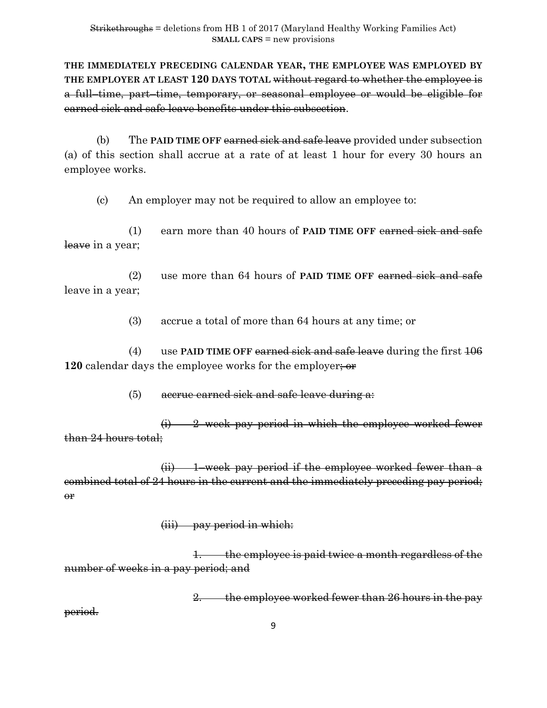**THE IMMEDIATELY PRECEDING CALENDAR YEAR, THE EMPLOYEE WAS EMPLOYED BY THE EMPLOYER AT LEAST 120 DAYS TOTAL** without regard to whether the employee is a full–time, part–time, temporary, or seasonal employee or would be eligible for earned sick and safe leave benefits under this subsection.

(b) The **PAID TIME OFF** earned sick and safe leave provided under subsection (a) of this section shall accrue at a rate of at least 1 hour for every 30 hours an employee works.

(c) An employer may not be required to allow an employee to:

(1) earn more than 40 hours of **PAID TIME OFF** earned sick and safe leave in a year;

(2) use more than 64 hours of **PAID TIME OFF** earned sick and safe leave in a year;

(3) accrue a total of more than 64 hours at any time; or

(4) use **PAID TIME OFF** earned sick and safe leave during the first 106 **120** calendar days the employee works for the employer; or

 $(5)$  accrue earned sick and safe leave during a:

(i) 2–week pay period in which the employee worked fewer than 24 hours total;

 $(ii)$  – 1–week pay period if the employee worked fewer than a combined total of 24 hours in the current and the immediately preceding pay period;  $\Theta$ **r** 

(iii) pay period in which:

1. the employee is paid twice a month regardless of the number of weeks in a pay period; and

2. the employee worked fewer than 26 hours in the pay

period.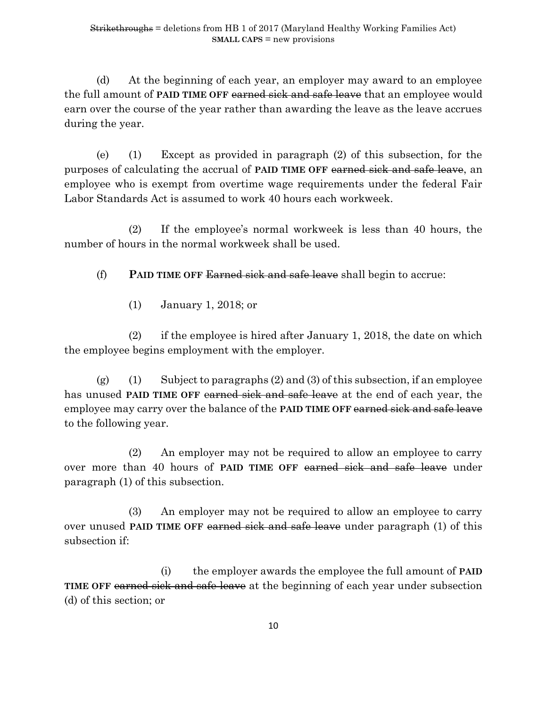(d) At the beginning of each year, an employer may award to an employee the full amount of **PAID TIME OFF** earned sick and safe leave that an employee would earn over the course of the year rather than awarding the leave as the leave accrues during the year.

(e) (1) Except as provided in paragraph (2) of this subsection, for the purposes of calculating the accrual of **PAID TIME OFF** earned sick and safe leave, an employee who is exempt from overtime wage requirements under the federal Fair Labor Standards Act is assumed to work 40 hours each workweek.

(2) If the employee's normal workweek is less than 40 hours, the number of hours in the normal workweek shall be used.

(f) **PAID TIME OFF** Earned sick and safe leave shall begin to accrue:

(1) January 1, 2018; or

(2) if the employee is hired after January 1, 2018, the date on which the employee begins employment with the employer.

(g) (1) Subject to paragraphs  $(2)$  and  $(3)$  of this subsection, if an employee has unused **PAID TIME OFF** earned sick and safe leave at the end of each year, the employee may carry over the balance of the **PAID TIME OFF** earned sick and safe leave to the following year.

(2) An employer may not be required to allow an employee to carry over more than 40 hours of **PAID TIME OFF** earned sick and safe leave under paragraph (1) of this subsection.

(3) An employer may not be required to allow an employee to carry over unused **PAID TIME OFF** earned sick and safe leave under paragraph (1) of this subsection if:

(i) the employer awards the employee the full amount of **PAID TIME OFF** earned sick and safe leave at the beginning of each year under subsection (d) of this section; or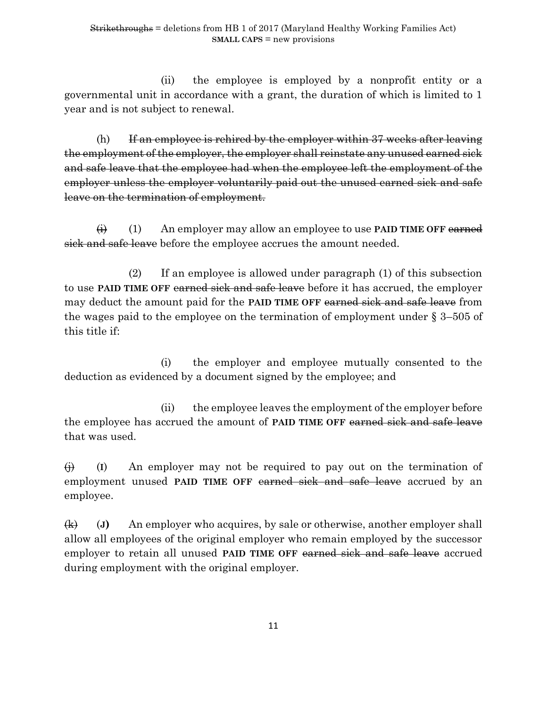(ii) the employee is employed by a nonprofit entity or a governmental unit in accordance with a grant, the duration of which is limited to 1 year and is not subject to renewal.

(h) If an employee is rehired by the employer within  $37$  weeks after leaving the employment of the employer, the employer shall reinstate any unused earned sick and safe leave that the employee had when the employee left the employment of the employer unless the employer voluntarily paid out the unused earned sick and safe leave on the termination of employment.

(i) (1) An employer may allow an employee to use **PAID TIME OFF** earned sick and safe leave before the employee accrues the amount needed.

(2) If an employee is allowed under paragraph (1) of this subsection to use **PAID TIME OFF** earned sick and safe leave before it has accrued, the employer may deduct the amount paid for the **PAID TIME OFF** earned sick and safe leave from the wages paid to the employee on the termination of employment under § 3–505 of this title if:

(i) the employer and employee mutually consented to the deduction as evidenced by a document signed by the employee; and

(ii) the employee leaves the employment of the employer before the employee has accrued the amount of **PAID TIME OFF** earned sick and safe leave that was used.

(j) (**I**) An employer may not be required to pay out on the termination of employment unused **PAID TIME OFF** earned sick and safe leave accrued by an employee.

(k) (**J)** An employer who acquires, by sale or otherwise, another employer shall allow all employees of the original employer who remain employed by the successor employer to retain all unused **PAID TIME OFF** earned sick and safe leave accrued during employment with the original employer.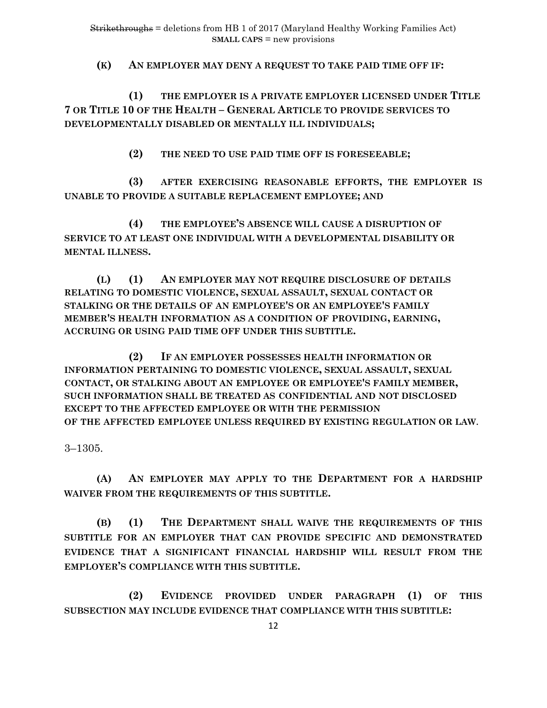**(K) AN EMPLOYER MAY DENY A REQUEST TO TAKE PAID TIME OFF IF:**

**(1) THE EMPLOYER IS A PRIVATE EMPLOYER LICENSED UNDER TITLE 7 OR TITLE 10 OF THE HEALTH – GENERAL ARTICLE TO PROVIDE SERVICES TO DEVELOPMENTALLY DISABLED OR MENTALLY ILL INDIVIDUALS;**

**(2) THE NEED TO USE PAID TIME OFF IS FORESEEABLE;**

**(3) AFTER EXERCISING REASONABLE EFFORTS, THE EMPLOYER IS UNABLE TO PROVIDE A SUITABLE REPLACEMENT EMPLOYEE; AND** 

**(4) THE EMPLOYEE'S ABSENCE WILL CAUSE A DISRUPTION OF SERVICE TO AT LEAST ONE INDIVIDUAL WITH A DEVELOPMENTAL DISABILITY OR MENTAL ILLNESS.**

**(L) (1) AN EMPLOYER MAY NOT REQUIRE DISCLOSURE OF DETAILS RELATING TO DOMESTIC VIOLENCE, SEXUAL ASSAULT, SEXUAL CONTACT OR STALKING OR THE DETAILS OF AN EMPLOYEE'S OR AN EMPLOYEE'S FAMILY MEMBER'S HEALTH INFORMATION AS A CONDITION OF PROVIDING, EARNING, ACCRUING OR USING PAID TIME OFF UNDER THIS SUBTITLE.**

**(2) IF AN EMPLOYER POSSESSES HEALTH INFORMATION OR INFORMATION PERTAINING TO DOMESTIC VIOLENCE, SEXUAL ASSAULT, SEXUAL CONTACT, OR STALKING ABOUT AN EMPLOYEE OR EMPLOYEE'S FAMILY MEMBER, SUCH INFORMATION SHALL BE TREATED AS CONFIDENTIAL AND NOT DISCLOSED EXCEPT TO THE AFFECTED EMPLOYEE OR WITH THE PERMISSION OF THE AFFECTED EMPLOYEE UNLESS REQUIRED BY EXISTING REGULATION OR LAW**.

3–1305.

**(A) AN EMPLOYER MAY APPLY TO THE DEPARTMENT FOR A HARDSHIP WAIVER FROM THE REQUIREMENTS OF THIS SUBTITLE.**

**(B) (1) THE DEPARTMENT SHALL WAIVE THE REQUIREMENTS OF THIS SUBTITLE FOR AN EMPLOYER THAT CAN PROVIDE SPECIFIC AND DEMONSTRATED EVIDENCE THAT A SIGNIFICANT FINANCIAL HARDSHIP WILL RESULT FROM THE EMPLOYER'S COMPLIANCE WITH THIS SUBTITLE.**

 **(2) EVIDENCE PROVIDED UNDER PARAGRAPH (1) OF THIS SUBSECTION MAY INCLUDE EVIDENCE THAT COMPLIANCE WITH THIS SUBTITLE:**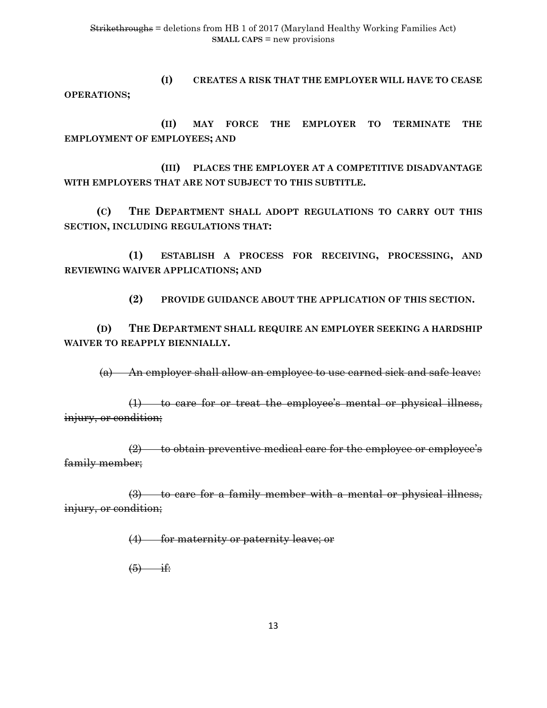**(I) CREATES A RISK THAT THE EMPLOYER WILL HAVE TO CEASE OPERATIONS;**

 **(II) MAY FORCE THE EMPLOYER TO TERMINATE THE EMPLOYMENT OF EMPLOYEES; AND** 

 **(III) PLACES THE EMPLOYER AT A COMPETITIVE DISADVANTAGE WITH EMPLOYERS THAT ARE NOT SUBJECT TO THIS SUBTITLE.**

**(C) THE DEPARTMENT SHALL ADOPT REGULATIONS TO CARRY OUT THIS SECTION, INCLUDING REGULATIONS THAT:**

**(1) ESTABLISH A PROCESS FOR RECEIVING, PROCESSING, AND REVIEWING WAIVER APPLICATIONS; AND** 

**(2) PROVIDE GUIDANCE ABOUT THE APPLICATION OF THIS SECTION.**

**(D) THE DEPARTMENT SHALL REQUIRE AN EMPLOYER SEEKING A HARDSHIP WAIVER TO REAPPLY BIENNIALLY.**

(a) An employer shall allow an employee to use earned sick and safe leave:

(1) to care for or treat the employee's mental or physical illness, injury, or condition;

 $(2)$  to obtain preventive medical care for the employee or employee's family member;

(3) to care for a family member with a mental or physical illness, injury, or condition;

(4) for maternity or paternity leave; or

 $(5)$  if: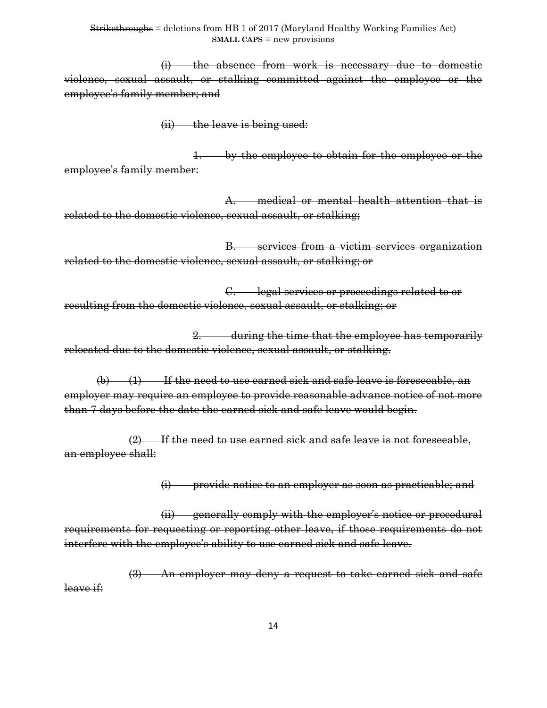(i) the absence from work is necessary due to domestic violence, sexual assault, or stalking committed against the employee or the employee's family member; and

(ii) the leave is being used:

1. by the employee to obtain for the employee or the employee's family member:

A. medical or mental health attention that is related to the domestic violence, sexual assault, or stalking;

B. services from a victim services organization related to the domestic violence, sexual assault, or stalking; or

C. legal services or proceedings related to or resulting from the domestic violence, sexual assault, or stalking; or

2. during the time that the employee has temporarily relocated due to the domestic violence, sexual assault, or stalking.

 $(b)$  (1) If the need to use earned sick and safe leave is foreseeable, an employer may require an employee to provide reasonable advance notice of not more than 7 days before the date the earned sick and safe leave would begin.

(2) If the need to use earned sick and safe leave is not foreseeable, an employee shall:

(i) provide notice to an employer as soon as practicable; and

(ii) generally comply with the employer's notice or procedural requirements for requesting or reporting other leave, if those requirements do not interfere with the employee's ability to use earned sick and safe leave.

(3) An employer may deny a request to take earned sick and safe leave if: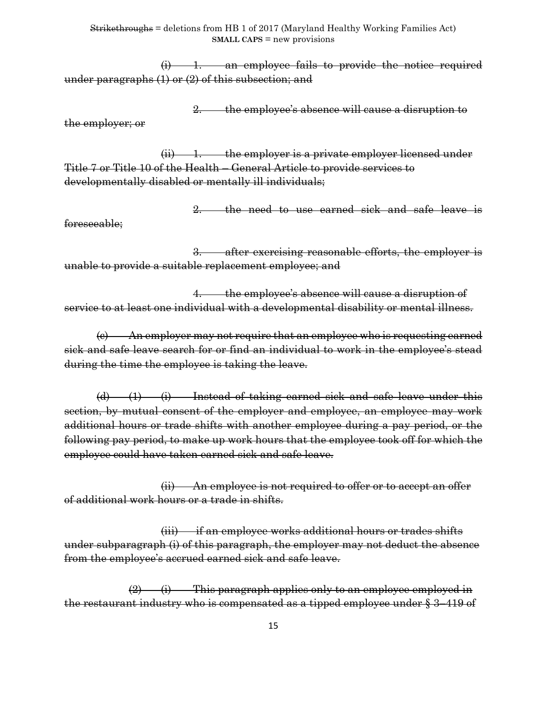$(i)$  1. an employee fails to provide the notice required under paragraphs (1) or (2) of this subsection; and

2. the employee's absence will cause a disruption to

the employer; or

 $(ii)$  1. the employer is a private employer licensed under Title 7 or Title 10 of the Health – General Article to provide services to developmentally disabled or mentally ill individuals;

2. the need to use earned sick and safe leave is

foreseeable;

3. after exercising reasonable efforts, the employer is unable to provide a suitable replacement employee; and

4. the employee's absence will cause a disruption of service to at least one individual with a developmental disability or mental illness.

(c) An employer may not require that an employee who is requesting earned sick and safe leave search for or find an individual to work in the employee's stead during the time the employee is taking the leave.

(d) (1) (i) Instead of taking earned sick and safe leave under this section, by mutual consent of the employer and employee, an employee may work additional hours or trade shifts with another employee during a pay period, or the following pay period, to make up work hours that the employee took off for which the employee could have taken earned sick and safe leave.

(ii) An employee is not required to offer or to accept an offer of additional work hours or a trade in shifts.

(iii) if an employee works additional hours or trades shifts under subparagraph (i) of this paragraph, the employer may not deduct the absence from the employee's accrued earned sick and safe leave.

 $(2)$  (i) This paragraph applies only to an employee employed in the restaurant industry who is compensated as a tipped employee under  $\frac{2}{3}$  419 of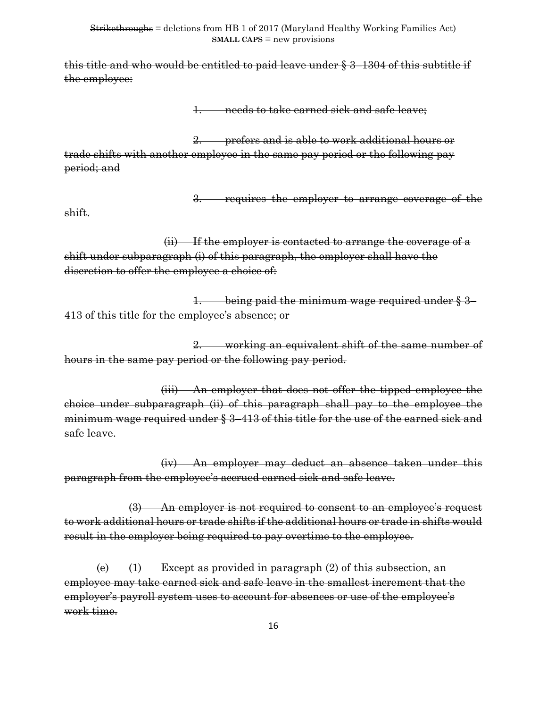this title and who would be entitled to paid leave under § 3–1304 of this subtitle if the employee:

1. needs to take earned sick and safe leave;

2. prefers and is able to work additional hours or trade shifts with another employee in the same pay period or the following pay period; and

3. requires the employer to arrange coverage of the

shift.

(ii) If the employer is contacted to arrange the coverage of a shift under subparagraph (i) of this paragraph, the employer shall have the discretion to offer the employee a choice of:

1. being paid the minimum wage required under § 3– 413 of this title for the employee's absence; or

2. working an equivalent shift of the same number of hours in the same pay period or the following pay period.

(iii) An employer that does not offer the tipped employee the choice under subparagraph (ii) of this paragraph shall pay to the employee the minimum wage required under § 3–413 of this title for the use of the earned sick and safe leave.

(iv) An employer may deduct an absence taken under this paragraph from the employee's accrued earned sick and safe leave.

(3) An employer is not required to consent to an employee's request to work additional hours or trade shifts if the additional hours or trade in shifts would result in the employer being required to pay overtime to the employee.

(e)  $(1)$  Except as provided in paragraph  $(2)$  of this subsection, an employee may take earned sick and safe leave in the smallest increment that the employer's payroll system uses to account for absences or use of the employee's work time.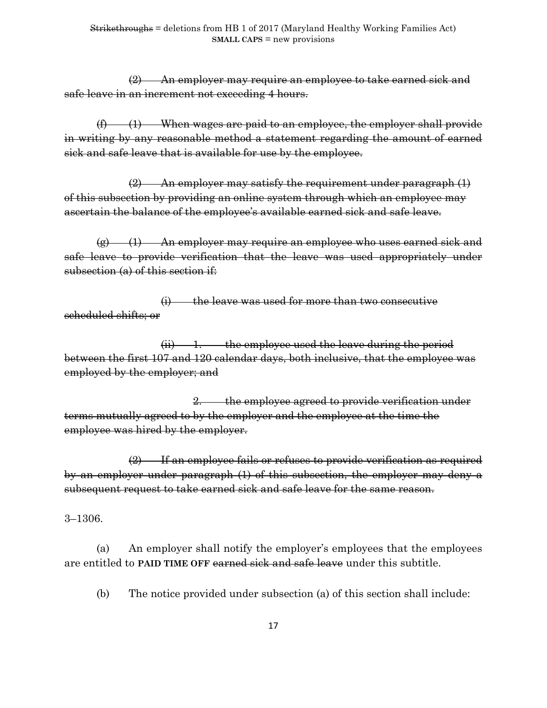(2) An employer may require an employee to take earned sick and safe leave in an increment not exceeding 4 hours.

 $(f)$  (1) When wages are paid to an employee, the employer shall provide in writing by any reasonable method a statement regarding the amount of earned sick and safe leave that is available for use by the employee.

 $(2)$  An employer may satisfy the requirement under paragraph  $(1)$ of this subsection by providing an online system through which an employee may ascertain the balance of the employee's available earned sick and safe leave.

 $\left( \mathbf{g} \right)$  (1) An employer may require an employee who uses earned sick and safe leave to provide verification that the leave was used appropriately under subsection (a) of this section if:

(i) the leave was used for more than two consecutive scheduled shifts; or

 $(ii)$  1. the employee used the leave during the period between the first 107 and 120 calendar days, both inclusive, that the employee was employed by the employer; and

2. the employee agreed to provide verification under terms mutually agreed to by the employer and the employee at the time the employee was hired by the employer.

(2) If an employee fails or refuses to provide verification as required by an employer under paragraph (1) of this subsection, the employer may deny a subsequent request to take earned sick and safe leave for the same reason.

3–1306.

(a) An employer shall notify the employer's employees that the employees are entitled to **PAID TIME OFF** earned sick and safe leave under this subtitle.

(b) The notice provided under subsection (a) of this section shall include: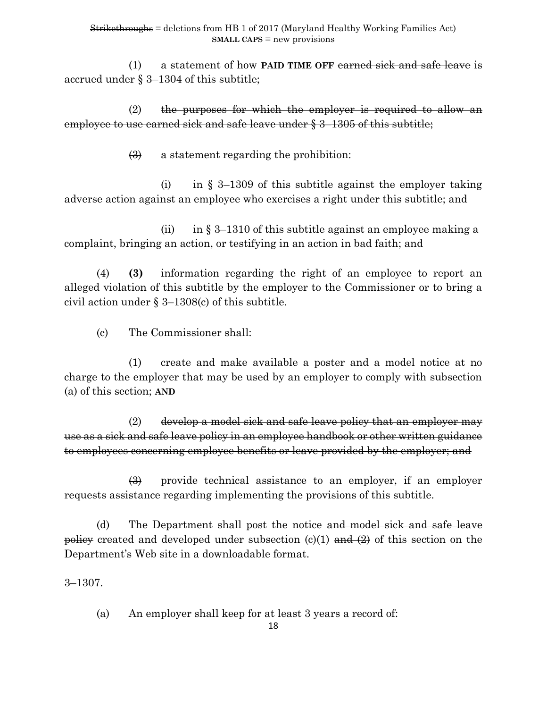(1) a statement of how **PAID TIME OFF** earned sick and safe leave is accrued under § 3–1304 of this subtitle;

 $(2)$  the purposes for which the employer is required to allow an employee to use carned sick and safe leave under § 3–1305 of this subtitle;

(3) a statement regarding the prohibition:

(i) in  $\S$  3–1309 of this subtitle against the employer taking adverse action against an employee who exercises a right under this subtitle; and

(ii) in  $\S 3-1310$  of this subtitle against an employee making a complaint, bringing an action, or testifying in an action in bad faith; and

(4) **(3)** information regarding the right of an employee to report an alleged violation of this subtitle by the employer to the Commissioner or to bring a civil action under § 3–1308(c) of this subtitle.

(c) The Commissioner shall:

(1) create and make available a poster and a model notice at no charge to the employer that may be used by an employer to comply with subsection (a) of this section; **AND**

(2) develop a model sick and safe leave policy that an employer may use as a sick and safe leave policy in an employee handbook or other written guidance to employees concerning employee benefits or leave provided by the employer; and

(3) provide technical assistance to an employer, if an employer requests assistance regarding implementing the provisions of this subtitle.

(d) The Department shall post the notice and model sick and safe leave policy created and developed under subsection  $(c)(1)$  and  $(2)$  of this section on the Department's Web site in a downloadable format.

3–1307.

(a) An employer shall keep for at least 3 years a record of: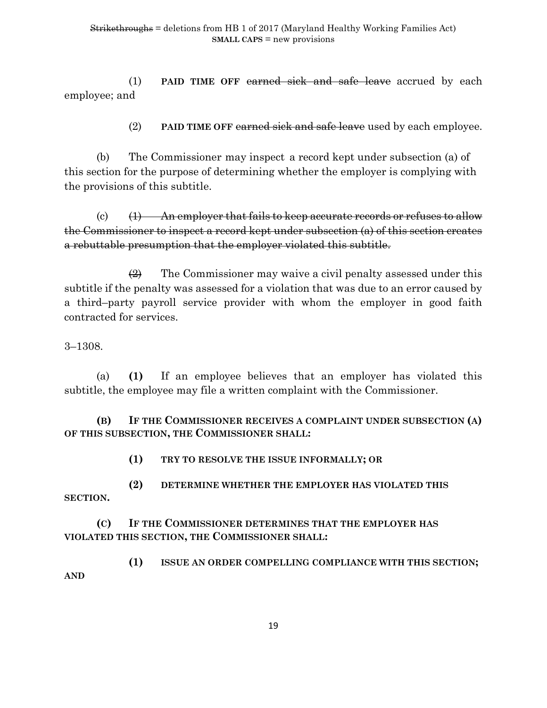(1) **PAID TIME OFF** earned sick and safe leave accrued by each employee; and

(2) **PAID TIME OFF** earned sick and safe leave used by each employee.

(b) The Commissioner may inspect a record kept under subsection (a) of this section for the purpose of determining whether the employer is complying with the provisions of this subtitle.

(c)  $(1)$  An employer that fails to keep accurate records or refuses to allow the Commissioner to inspect a record kept under subsection (a) of this section creates a rebuttable presumption that the employer violated this subtitle.

 $\left(2\right)$  The Commissioner may waive a civil penalty assessed under this subtitle if the penalty was assessed for a violation that was due to an error caused by a third–party payroll service provider with whom the employer in good faith contracted for services.

3–1308.

(a) **(1)** If an employee believes that an employer has violated this subtitle, the employee may file a written complaint with the Commissioner.

**(B) IF THE COMMISSIONER RECEIVES A COMPLAINT UNDER SUBSECTION (A) OF THIS SUBSECTION, THE COMMISSIONER SHALL:**

**(1) TRY TO RESOLVE THE ISSUE INFORMALLY; OR**

**(2) DETERMINE WHETHER THE EMPLOYER HAS VIOLATED THIS SECTION.**

**(C) IF THE COMMISSIONER DETERMINES THAT THE EMPLOYER HAS VIOLATED THIS SECTION, THE COMMISSIONER SHALL:**

**(1) ISSUE AN ORDER COMPELLING COMPLIANCE WITH THIS SECTION; AND**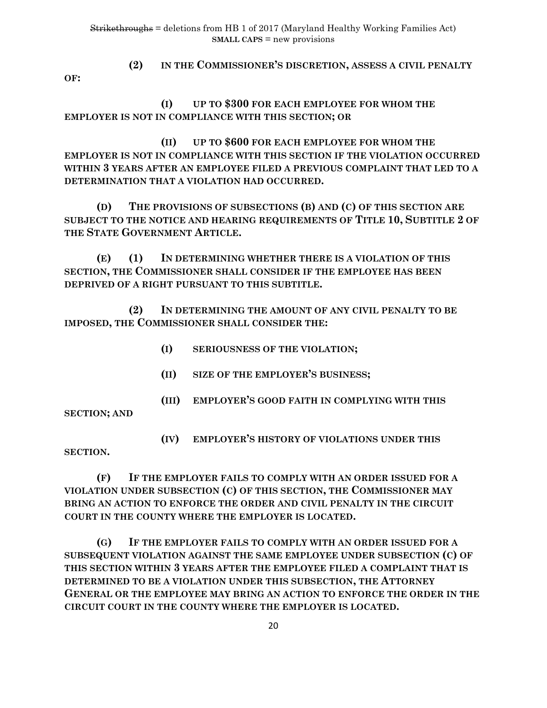**OF:**

# **(2) IN THE COMMISSIONER'S DISCRETION, ASSESS A CIVIL PENALTY**

**(I) UP TO \$300 FOR EACH EMPLOYEE FOR WHOM THE EMPLOYER IS NOT IN COMPLIANCE WITH THIS SECTION; OR**

**(II) UP TO \$600 FOR EACH EMPLOYEE FOR WHOM THE EMPLOYER IS NOT IN COMPLIANCE WITH THIS SECTION IF THE VIOLATION OCCURRED WITHIN 3 YEARS AFTER AN EMPLOYEE FILED A PREVIOUS COMPLAINT THAT LED TO A DETERMINATION THAT A VIOLATION HAD OCCURRED.**

**(D) THE PROVISIONS OF SUBSECTIONS (B) AND (C) OF THIS SECTION ARE SUBJECT TO THE NOTICE AND HEARING REQUIREMENTS OF TITLE 10, SUBTITLE 2 OF THE STATE GOVERNMENT ARTICLE.**

**(E) (1) IN DETERMINING WHETHER THERE IS A VIOLATION OF THIS SECTION, THE COMMISSIONER SHALL CONSIDER IF THE EMPLOYEE HAS BEEN DEPRIVED OF A RIGHT PURSUANT TO THIS SUBTITLE.**

**(2) IN DETERMINING THE AMOUNT OF ANY CIVIL PENALTY TO BE IMPOSED, THE COMMISSIONER SHALL CONSIDER THE:**

- **(I) SERIOUSNESS OF THE VIOLATION;**
- **(II) SIZE OF THE EMPLOYER'S BUSINESS;**
- **(III) EMPLOYER'S GOOD FAITH IN COMPLYING WITH THIS**

**SECTION; AND**

**(IV) EMPLOYER'S HISTORY OF VIOLATIONS UNDER THIS** 

**SECTION.**

**(F) IF THE EMPLOYER FAILS TO COMPLY WITH AN ORDER ISSUED FOR A VIOLATION UNDER SUBSECTION (C) OF THIS SECTION, THE COMMISSIONER MAY BRING AN ACTION TO ENFORCE THE ORDER AND CIVIL PENALTY IN THE CIRCUIT COURT IN THE COUNTY WHERE THE EMPLOYER IS LOCATED.**

**(G) IF THE EMPLOYER FAILS TO COMPLY WITH AN ORDER ISSUED FOR A SUBSEQUENT VIOLATION AGAINST THE SAME EMPLOYEE UNDER SUBSECTION (C) OF THIS SECTION WITHIN 3 YEARS AFTER THE EMPLOYEE FILED A COMPLAINT THAT IS DETERMINED TO BE A VIOLATION UNDER THIS SUBSECTION, THE ATTORNEY GENERAL OR THE EMPLOYEE MAY BRING AN ACTION TO ENFORCE THE ORDER IN THE CIRCUIT COURT IN THE COUNTY WHERE THE EMPLOYER IS LOCATED.**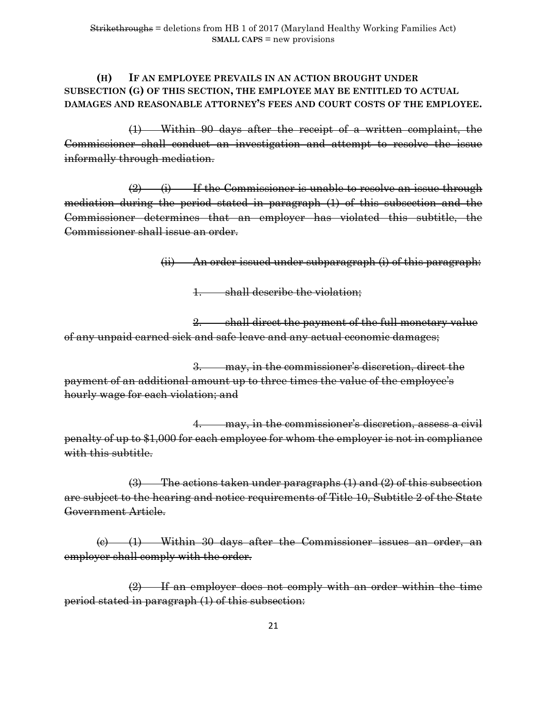# **(H) IF AN EMPLOYEE PREVAILS IN AN ACTION BROUGHT UNDER SUBSECTION (G) OF THIS SECTION, THE EMPLOYEE MAY BE ENTITLED TO ACTUAL DAMAGES AND REASONABLE ATTORNEY'S FEES AND COURT COSTS OF THE EMPLOYEE.**

(1) Within 90 days after the receipt of a written complaint, the Commissioner shall conduct an investigation and attempt to resolve the issue informally through mediation.

 $(2)$  (i) If the Commissioner is unable to resolve an issue through mediation during the period stated in paragraph (1) of this subsection and the Commissioner determines that an employer has violated this subtitle, the Commissioner shall issue an order.

(ii) An order issued under subparagraph (i) of this paragraph:

1. shall describe the violation;

2. shall direct the payment of the full monetary value of any unpaid earned sick and safe leave and any actual economic damages;

3. may, in the commissioner's discretion, direct the payment of an additional amount up to three times the value of the employee's hourly wage for each violation; and

 4. may, in the commissioner's discretion, assess a civil penalty of up to \$1,000 for each employee for whom the employer is not in compliance with this subtitle.

(3) The actions taken under paragraphs (1) and (2) of this subsection are subject to the hearing and notice requirements of Title 10, Subtitle 2 of the State Government Article.

(c) (1) Within 30 days after the Commissioner issues an order, an employer shall comply with the order.

(2) If an employer does not comply with an order within the time period stated in paragraph (1) of this subsection: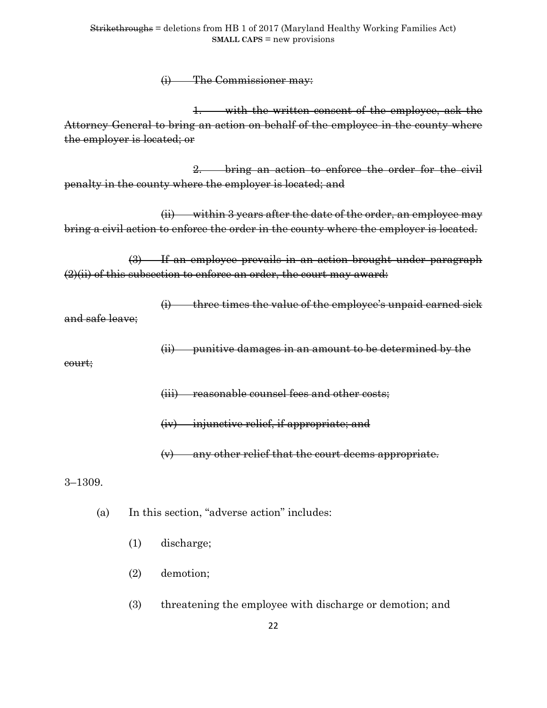(i) The Commissioner may:

1. with the written consent of the employee, ask the Attorney General to bring an action on behalf of the employee in the county where the employer is located; or

2. bring an action to enforce the order for the civil penalty in the county where the employer is located; and

(ii) within 3 years after the date of the order, an employee may bring a civil action to enforce the order in the county where the employer is located.

(3) If an employee prevails in an action brought under paragraph (2)(ii) of this subsection to enforce an order, the court may award:

 $(i)$  three times the value of the employee's unpaid earned sick

and safe leave;

(ii) punitive damages in an amount to be determined by the

court;

(iii) reasonable counsel fees and other costs;

(iv) injunctive relief, if appropriate; and

(v) any other relief that the court deems appropriate.

3–1309.

(a) In this section, "adverse action" includes:

- (1) discharge;
- (2) demotion;
- (3) threatening the employee with discharge or demotion; and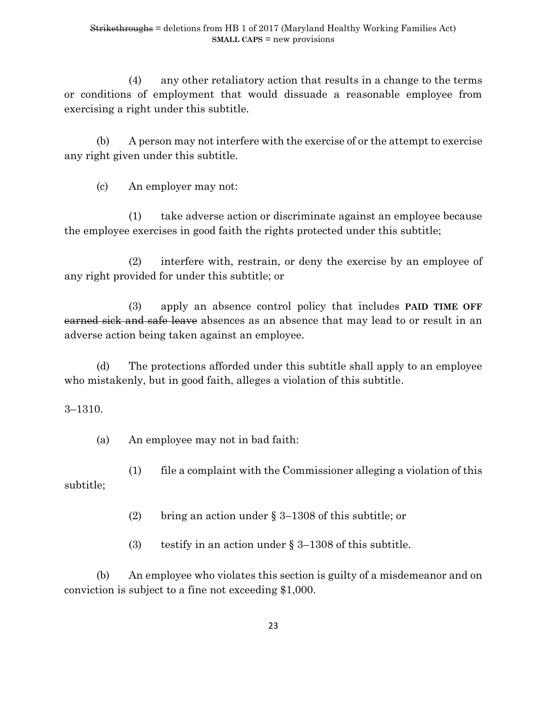(4) any other retaliatory action that results in a change to the terms or conditions of employment that would dissuade a reasonable employee from exercising a right under this subtitle.

(b) A person may not interfere with the exercise of or the attempt to exercise any right given under this subtitle.

(c) An employer may not:

(1) take adverse action or discriminate against an employee because the employee exercises in good faith the rights protected under this subtitle;

(2) interfere with, restrain, or deny the exercise by an employee of any right provided for under this subtitle; or

(3) apply an absence control policy that includes **PAID TIME OFF** earned sick and safe leave absences as an absence that may lead to or result in an adverse action being taken against an employee.

(d) The protections afforded under this subtitle shall apply to an employee who mistakenly, but in good faith, alleges a violation of this subtitle.

3–1310.

(a) An employee may not in bad faith:

(1) file a complaint with the Commissioner alleging a violation of this subtitle;

(2) bring an action under § 3–1308 of this subtitle; or

(3) testify in an action under  $\S 3-1308$  of this subtitle.

(b) An employee who violates this section is guilty of a misdemeanor and on conviction is subject to a fine not exceeding \$1,000.